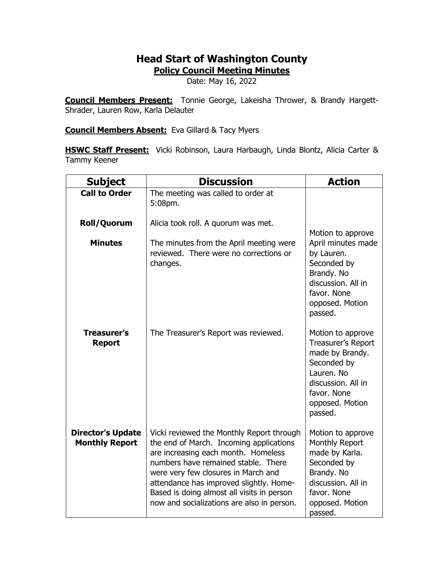## **Head Start of Washington County**

**Policy Council Meeting Minutes**

Date: May 16, 2022

**Council Members Present:** Tonnie George, Lakeisha Thrower, & Brandy Hargett-Shrader, Lauren Row, Karla Delauter

**Council Members Absent:** Eva Gillard & Tacy Myers

**HSWC Staff Present:** Vicki Robinson, Laura Harbaugh, Linda Blontz, Alicia Carter & Tammy Keener

| <b>Subject</b>                                    | <b>Discussion</b>                                                                                                                                                                                                                                                                                                                                | <b>Action</b>                                                                                                                                              |
|---------------------------------------------------|--------------------------------------------------------------------------------------------------------------------------------------------------------------------------------------------------------------------------------------------------------------------------------------------------------------------------------------------------|------------------------------------------------------------------------------------------------------------------------------------------------------------|
| <b>Call to Order</b>                              | The meeting was called to order at<br>5:08pm.                                                                                                                                                                                                                                                                                                    |                                                                                                                                                            |
| Roll/Quorum                                       | Alicia took roll. A quorum was met.                                                                                                                                                                                                                                                                                                              | Motion to approve                                                                                                                                          |
| <b>Minutes</b>                                    | The minutes from the April meeting were<br>reviewed. There were no corrections or<br>changes.                                                                                                                                                                                                                                                    | April minutes made<br>by Lauren.<br>Seconded by<br>Brandy. No<br>discussion. All in<br>favor. None<br>opposed. Motion<br>passed.                           |
| <b>Treasurer's</b><br><b>Report</b>               | The Treasurer's Report was reviewed.                                                                                                                                                                                                                                                                                                             | Motion to approve<br>Treasurer's Report<br>made by Brandy.<br>Seconded by<br>Lauren. No<br>discussion. All in<br>favor. None<br>opposed. Motion<br>passed. |
| <b>Director's Update</b><br><b>Monthly Report</b> | Vicki reviewed the Monthly Report through<br>the end of March. Incoming applications<br>are increasing each month. Homeless<br>numbers have remained stable. There<br>were very few closures in March and<br>attendance has improved slightly. Home-<br>Based is doing almost all visits in person<br>now and socializations are also in person. | Motion to approve<br>Monthly Report<br>made by Karla.<br>Seconded by<br>Brandy. No<br>discussion. All in<br>favor. None<br>opposed. Motion<br>passed.      |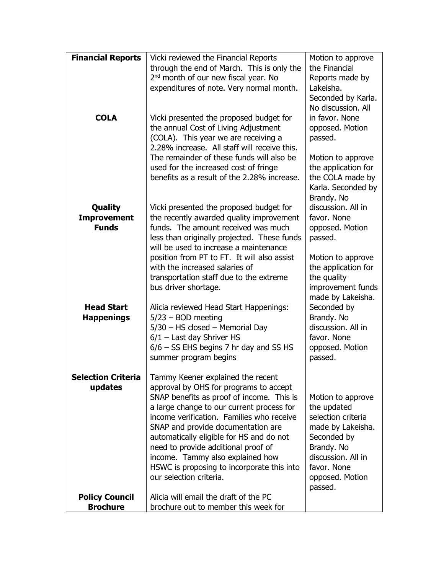| <b>Financial Reports</b>  | Vicki reviewed the Financial Reports                           | Motion to approve         |
|---------------------------|----------------------------------------------------------------|---------------------------|
|                           | through the end of March. This is only the                     | the Financial             |
|                           | 2 <sup>nd</sup> month of our new fiscal year. No               | Reports made by           |
|                           | expenditures of note. Very normal month.                       | Lakeisha.                 |
|                           |                                                                | Seconded by Karla.        |
|                           |                                                                | No discussion. All        |
| <b>COLA</b>               | Vicki presented the proposed budget for                        | in favor. None            |
|                           | the annual Cost of Living Adjustment                           | opposed. Motion           |
|                           | (COLA). This year we are receiving a                           | passed.                   |
|                           | 2.28% increase. All staff will receive this.                   |                           |
|                           | The remainder of these funds will also be                      | Motion to approve         |
|                           | used for the increased cost of fringe                          | the application for       |
|                           | benefits as a result of the 2.28% increase.                    | the COLA made by          |
|                           |                                                                | Karla. Seconded by        |
|                           |                                                                | Brandy. No                |
| <b>Quality</b>            | Vicki presented the proposed budget for                        | discussion. All in        |
| <b>Improvement</b>        | the recently awarded quality improvement                       | favor. None               |
| <b>Funds</b>              | funds. The amount received was much                            | opposed. Motion           |
|                           | less than originally projected. These funds                    | passed.                   |
|                           | will be used to increase a maintenance                         |                           |
|                           | position from PT to FT. It will also assist                    | Motion to approve         |
|                           | with the increased salaries of                                 | the application for       |
|                           | transportation staff due to the extreme                        | the quality               |
|                           | bus driver shortage.                                           | improvement funds         |
| <b>Head Start</b>         |                                                                | made by Lakeisha.         |
|                           | Alicia reviewed Head Start Happenings:<br>$5/23 - BOD$ meeting | Seconded by<br>Brandy. No |
| <b>Happenings</b>         | $5/30$ – HS closed – Memorial Day                              | discussion. All in        |
|                           | $6/1$ – Last day Shriver HS                                    | favor. None               |
|                           | 6/6 - SS EHS begins 7 hr day and SS HS                         | opposed. Motion           |
|                           | summer program begins                                          | passed.                   |
|                           |                                                                |                           |
| <b>Selection Criteria</b> | Tammy Keener explained the recent                              |                           |
| updates                   | approval by OHS for programs to accept                         |                           |
|                           | SNAP benefits as proof of income. This is                      | Motion to approve         |
|                           | a large change to our current process for                      | the updated               |
|                           | income verification. Families who receive                      | selection criteria        |
|                           | SNAP and provide documentation are                             | made by Lakeisha.         |
|                           | automatically eligible for HS and do not                       | Seconded by               |
|                           | need to provide additional proof of                            | Brandy. No                |
|                           | income. Tammy also explained how                               | discussion. All in        |
|                           | HSWC is proposing to incorporate this into                     | favor. None               |
|                           | our selection criteria.                                        | opposed. Motion           |
|                           |                                                                | passed.                   |
| <b>Policy Council</b>     | Alicia will email the draft of the PC                          |                           |
| <b>Brochure</b>           | brochure out to member this week for                           |                           |